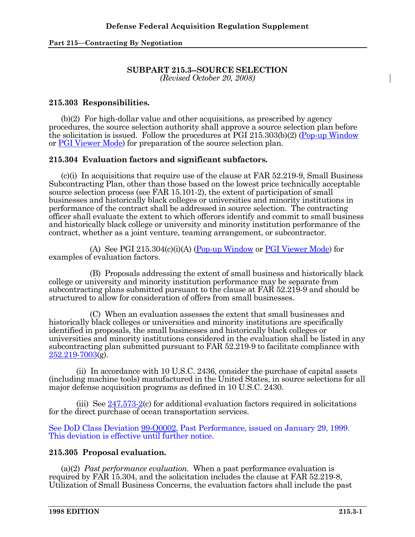#### **SUBPART 215.3--SOURCE SELECTION**  *(Revised October 20, 2008)*

## **215.303 Responsibilities.**

 (b)(2) For high-dollar value and other acquisitions, as prescribed by agency procedures, the source selection authority shall approve a source selection plan before the solicitation is issued. Follow the procedures at PGI 215.303(b)(2) (Pop-up Window or PGI Viewer Mode) for preparation of the source selection plan.

# **215.304 Evaluation factors and significant subfactors.**

 (c)(i) In acquisitions that require use of the clause at FAR 52.219-9, Small Business Subcontracting Plan, other than those based on the lowest price technically acceptable source selection process (see FAR 15.101-2), the extent of participation of small businesses and historically black colleges or universities and minority institutions in performance of the contract shall be addressed in source selection. The contracting officer shall evaluate the extent to which offerors identify and commit to small business and historically black college or university and minority institution performance of the contract, whether as a joint venture, teaming arrangement, or subcontractor.

(A) See PGI  $215.304(c)(i)(A)$  (Pop-up Window or PGI Viewer Mode) for examples of evaluation factors.

 (B) Proposals addressing the extent of small business and historically black college or university and minority institution performance may be separate from subcontracting plans submitted pursuant to the clause at FAR 52.219-9 and should be structured to allow for consideration of offers from small businesses.

 (C) When an evaluation assesses the extent that small businesses and historically black colleges or universities and minority institutions are specifically identified in proposals, the small businesses and historically black colleges or universities and minority institutions considered in the evaluation shall be listed in any subcontracting plan submitted pursuant to FAR 52.219-9 to facilitate compliance with 252.219-7003(g).

 (ii) In accordance with 10 U.S.C. 2436, consider the purchase of capital assets (including machine tools) manufactured in the United States, in source selections for all major defense acquisition programs as defined in 10 U.S.C. 2430.

 (iii) See 247.573-2(c) for additional evaluation factors required in solicitations for the direct purchase of ocean transportation services.

See DoD Class Deviation 99-O0002, Past Performance, issued on January 29, 1999. This deviation is effective until further notice.

## **215.305 Proposal evaluation.**

(a)(2) *Past performance evaluation.* When a past performance evaluation is required by FAR 15.304, and the solicitation includes the clause at FAR 52.219-8, Utilization of Small Business Concerns, the evaluation factors shall include the past